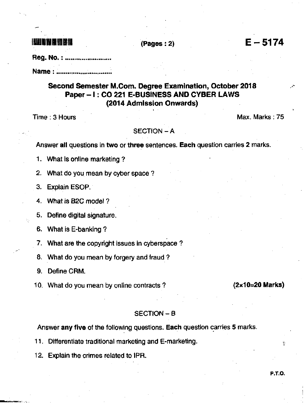**ILLET AND ALL ASSESSMENT CONSUMING CONSUMING CONSUMING CONSUMING EXAMPLE**  $-5174$ 

**Reg. No. : ........................** 

Name : .......................

## Second Semester M.Com. Degree Examination, October 2018 Paper - I: CO 221 E-BUSINESS AND CYBER LAWS (2014 Admlssion Onwards)

Time : 3 Hours Max. Marks : 75

## $SECTION - A$

Answer all questions in two or three sentences. Each question carries 2 marks.

1. What is online marketing ?

2. What do you mean by cyber space ?

3. Explain ESOP.

4. What is B2C model ?

5. Deflne digital signature.

6. What is E-banking ?

7. What are the copyright issues in cyberspace ?

8. What do you mean by forgery and fraud ?

9. Define CRM.

10. What do you mean by online contracts ?  $(2 \times 10=20 \text{ Marks})$ 

## SECTION - <sup>B</sup>

Answer any five of the following questions. Each question carries 5 marks.

<sup>1</sup>1. Ditferentiate traditional marketing and E-marketing.

12. Explain the crimes related to lPR.

P.T-O-